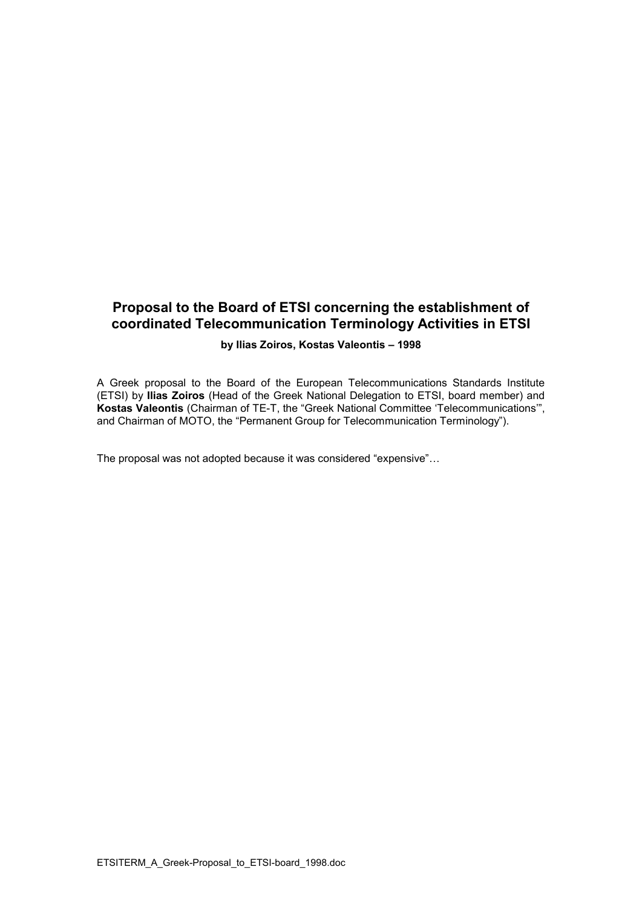# **Proposal to the Board of ETSI concerning the establishment of coordinated Telecommunication Terminology Activities in ETSI**

#### **by Ilias Zoiros, Kostas Valeontis – 1998**

A Greek proposal to the Board of the European Telecommunications Standards Institute (ETSI) by **Ilias Zoiros** (Head of the Greek National Delegation to ETSI, board member) and **Kostas Valeontis** (Chairman of TE-T, the "Greek National Committee 'Telecommunications'", and Chairman of MOTO, the "Permanent Group for Telecommunication Terminology").

The proposal was not adopted because it was considered "expensive"…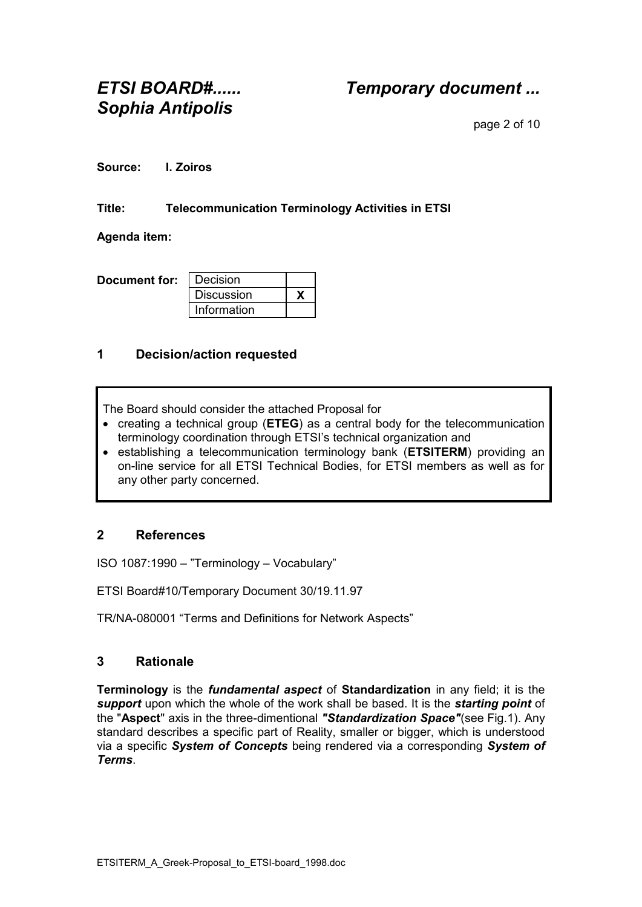*ETSI BOARD#...... Temporary document ...*

page 2 of 10

**Source: I. Zoiros**

### **Title: Telecommunication Terminology Activities in ETSI**

**Agenda item:**

| Document for: | I Decision        |  |
|---------------|-------------------|--|
|               | <b>Discussion</b> |  |
|               | Information       |  |

## **1 Decision/action requested**

The Board should consider the attached Proposal for

- creating a technical group (**ETEG**) as a central body for the telecommunication terminology coordination through ETSI's technical organization and
- establishing a telecommunication terminology bank (**ETSITERM**) providing an on-line service for all ETSI Technical Bodies, for ETSI members as well as for any other party concerned.

## **2 References**

ISO 1087:1990 – "Terminology – Vocabulary"

ETSI Board#10/Temporary Document 30/19.11.97

TR/NA-080001 "Terms and Definitions for Network Aspects"

## **3 Rationale**

**Terminology** is the *fundamental aspect* of **Standardization** in any field; it is the *support* upon which the whole of the work shall be based. It is the *starting point* of the "**Aspect**" axis in the three-dimentional *"Standardization Space"*(see Fig.1). Any standard describes a specific part of Reality, smaller or bigger, which is understood via a specific *System of Concepts* being rendered via a corresponding *System of Terms*.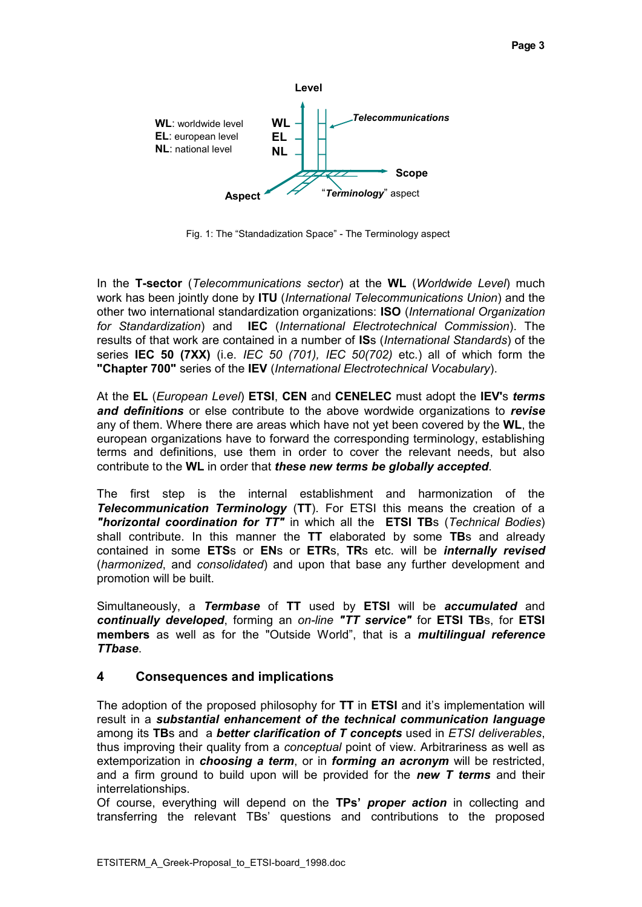

Fig. 1: The "Standadization Space" - The Terminology aspect

In the **T-sector** (*Telecommunications sector*) at the **WL** (*Worldwide Level*) much work has been jointly done by **ITU** (*International Telecommunications Union*) and the other two international standardization organizations: **ISO** (*International Organization for Standardization*) and **IEC** (*International Electrotechnical Commission*). The results of that work are contained in a number of **IS**s (*International Standards*) of the series **IEC 50 (7XX)** (i.e. *IEC 50 (701), IEC 50(702)* etc.) all of which form the **"Chapter 700"** series of the **IEV** (*International Electrotechnical Vocabulary*).

At the **EL** (*European Level*) **ETSI**, **CEN** and **CENELEC** must adopt the **IEV'**s *terms and definitions* or else contribute to the above wordwide organizations to *revise* any of them. Where there are areas which have not yet been covered by the **WL**, the european organizations have to forward the corresponding terminology, establishing terms and definitions, use them in order to cover the relevant needs, but also contribute to the **WL** in order that *these new terms be globally accepted*.

The first step is the internal establishment and harmonization of the *Telecommunication Terminology* (**TT**). For ETSI this means the creation of a *"horizontal coordination for TT"* in which all the **ETSI TB**s (*Technical Bodies*) shall contribute. In this manner the **TT** elaborated by some **TB**s and already contained in some **ETS**s or **EN**s or **ETR**s, **TR**s etc. will be *internally revised* (*harmonized*, and *consolidated*) and upon that base any further development and promotion will be built.

Simultaneously, a *Termbase* of **TT** used by **ETSI** will be *accumulated* and *continually developed*, forming an *on-line "TT service"* for **ETSI TB**s, for **ETSI members** as well as for the "Outside World", that is a *multilingual reference TTbase*.

#### **4 Consequences and implications**

The adoption of the proposed philosophy for **TT** in **ETSI** and it's implementation will result in a *substantial enhancement of the technical communication language* among its **TB**s and a *better clarification of T concepts* used in *ETSI deliverables*, thus improving their quality from a *conceptual* point of view. Arbitrariness as well as extemporization in *choosing a term*, or in *forming an acronym* will be restricted, and a firm ground to build upon will be provided for the *new T terms* and their interrelationships.

Of course, everything will depend on the **TPs'** *proper action* in collecting and transferring the relevant TBs' questions and contributions to the proposed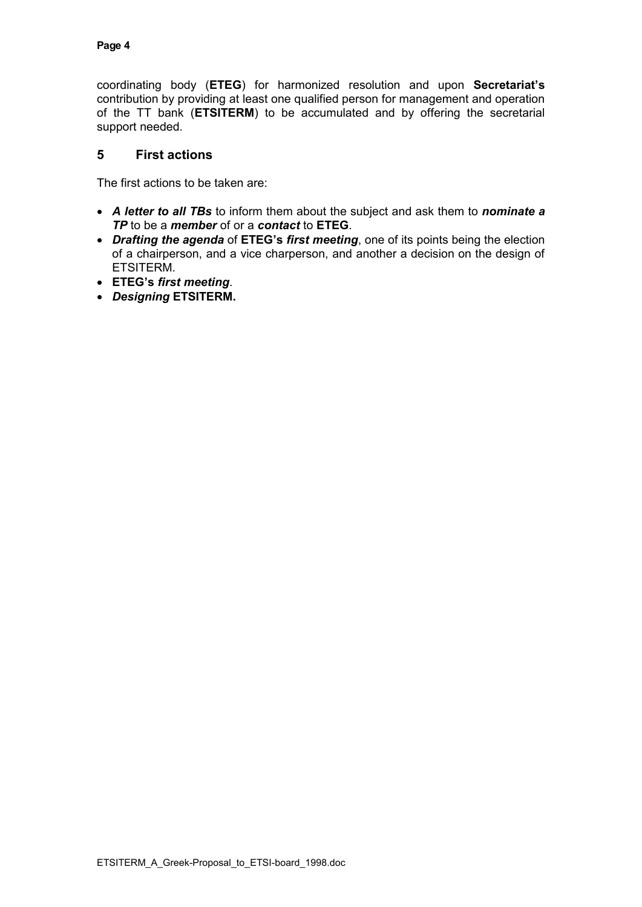coordinating body (**ETEG**) for harmonized resolution and upon **Secretariat's** contribution by providing at least one qualified person for management and operation of the TT bank (**ETSITERM**) to be accumulated and by offering the secretarial support needed.

## **5 First actions**

The first actions to be taken are:

- *A letter to all TBs* to inform them about the subject and ask them to *nominate a TP* to be a *member* of or a *contact* to **ETEG**.
- *Drafting the agenda* of **ETEG's** *first meeting*, one of its points being the election of a chairperson, and a vice charperson, and another a decision on the design of ETSITERM.
- **ETEG's** *first meeting*.
- *Designing* **ETSITERM.**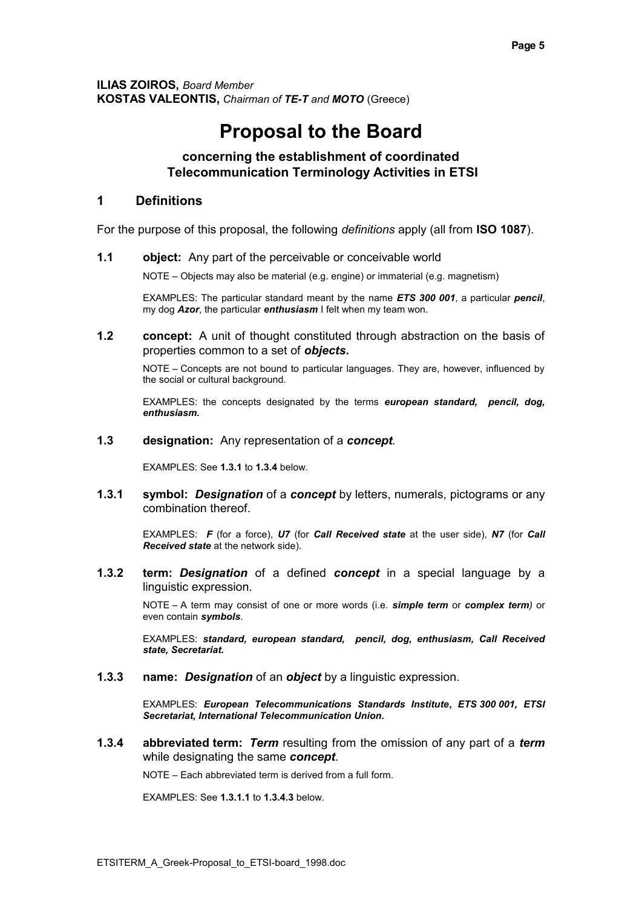**ILIAS ZOIROS,** *Board Member* **KOSTAS VALEONTIS,** *Chairman of TE-T and MOTO* (Greece)

# **Proposal to the Board**

#### **concerning the establishment of coordinated Telecommunication Terminology Activities in ETSI**

#### **1 Definitions**

For the purpose of this proposal, the following *definitions* apply (all from **ISO 1087**).

**1.1 object:** Any part of the perceivable or conceivable world

NOTE – Objects may also be material (e.g. engine) or immaterial (e.g. magnetism)

EXAMPLES: The particular standard meant by the name *ETS 300 001*, a particular *pencil*, my dog *Azor*, the particular *enthusiasm* I felt when my team won.

**1.2 concept:** A unit of thought constituted through abstraction on the basis of properties common to a set of *objects***.**

NOTE – Concepts are not bound to particular languages. They are, however, influenced by the social or cultural background.

EXAMPLES: the concepts designated by the terms *european standard, pencil, dog, enthusiasm.*

**1.3 designation:** Any representation of a *concept.*

EXAMPLES: See **1.3.1** to **1.3.4** below.

**1.3.1 symbol:** *Designation* of a *concept* by letters, numerals, pictograms or any combination thereof.

EXAMPLES: *F* (for a force), *U7* (for *Call Received state* at the user side), *N7* (for *Call Received state* at the network side).

**1.3.2 term:** *Designation* of a defined *concept* in a special language by a linguistic expression.

NOTE – A term may consist of one or more words (i.e. *simple term* or *complex term)* or even contain *symbols*.

EXAMPLES: *standard, european standard, pencil, dog, enthusiasm, Call Received state, Secretariat.*

**1.3.3 name:** *Designation* of an *object* by a linguistic expression.

EXAMPLES: *European Telecommunications Standards Institute***,** *ETS 300 001, ETSI Secretariat, International Telecommunication Union.*

**1.3.4 abbreviated term:** *Term* resulting from the omission of any part of a *term*  while designating the same *concept*.

NOTE – Each abbreviated term is derived from a full form.

EXAMPLES: See **1.3.1.1** to **1.3.4.3** below.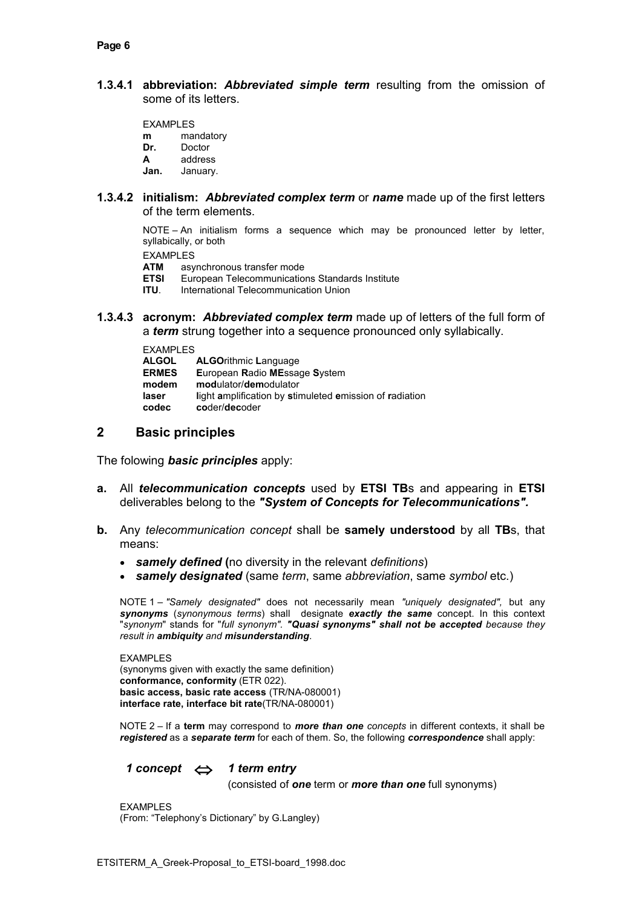**1.3.4.1 abbreviation:** *Abbreviated simple term* resulting from the omission of some of its letters.

EXAMPLES **m** mandatory<br>**Dr.** Doctor

- Doctor
- **A** address
- **Jan.** January.
- **1.3.4.2 initialism:** *Abbreviated complex term* or *name* made up of the first letters of the term elements.

NOTE – An initialism forms a sequence which may be pronounced letter by letter, syllabically, or both

EXAMPLES<br>ATM asv

**ATM** asynchronous transfer mode<br> **FTSI** Furopean Telecommunication

**ETSI** European Telecommunications Standards Institute<br>**ITU**. International Telecommunication Union

**International Telecommunication Union** 

**1.3.4.3 acronym:** *Abbreviated complex term* made up of letters of the full form of a *term* strung together into a sequence pronounced only syllabically.

| <b>EXAMPLES</b> |                                                         |
|-----------------|---------------------------------------------------------|
| <b>ALGOL</b>    | <b>ALGOrithmic Language</b>                             |
| <b>ERMES</b>    | European Radio MEssage System                           |
| modem           | modulator/demodulator                                   |
| laser           | light amplification by stimuleted emission of radiation |
| codec           | coder/decoder                                           |
|                 |                                                         |

#### **2 Basic principles**

The folowing *basic principles* apply:

- **a.** All *telecommunication concepts* used by **ETSI TB**s and appearing in **ETSI** deliverables belong to the *"System of Concepts for Telecommunications".*
- **b.** Any *telecommunication concept* shall be **samely understood** by all **TB**s, that means:
	- *samely defined* **(**no diversity in the relevant *definitions*)
	- *samely designated* (same *term*, same *abbreviation*, same *symbol* etc.)

NOTE 1 – *"Samely designated"* does not necessarily mean *"uniquely designated",* but any *synonyms* (*synonymous terms*) shall designate *exactly the same* concept. In this context "*synonym*" stands for "*full synonym". "Quasi synonyms" shall not be accepted because they result in ambiquity and misunderstanding*.

EXAMPLES (synonyms given with exactly the same definition) **conformance, conformity** (ETR 022). **basic access, basic rate access** (TR/NA-080001) **interface rate, interface bit rate**(TR/NA-080001)

NOTE 2 – If a **term** may correspond to *more than one concepts* in different contexts, it shall be *registered* as a *separate term* for each of them. So, the following *correspondence* shall apply:

*1 concept 1 term entry*

(consisted of *one* term or *more than one* full synonyms)

EXAMPLES (From: "Telephony's Dictionary" by G.Langley)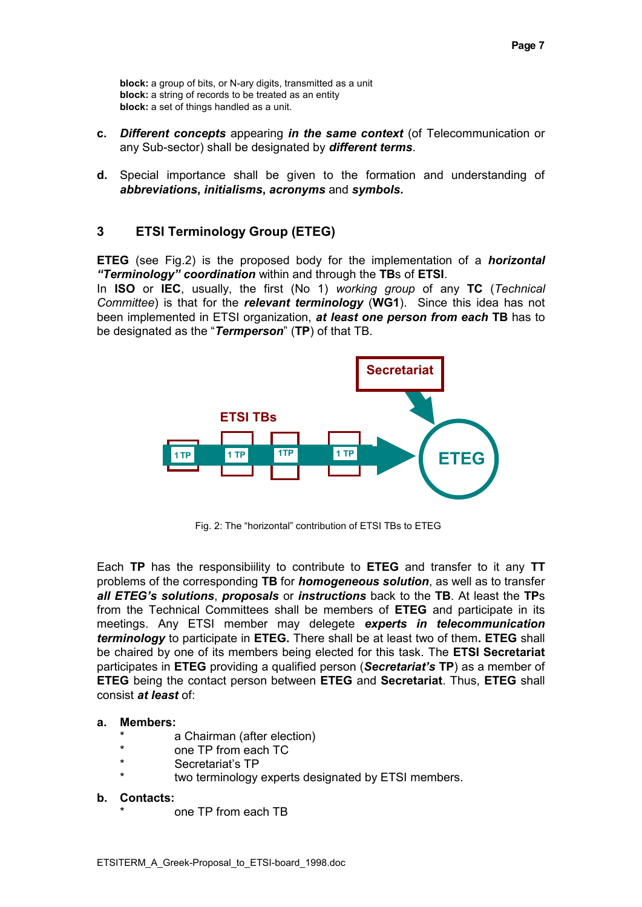**block:** a group of bits, or N-ary digits, transmitted as a unit **block:** a string of records to be treated as an entity **block:** a set of things handled as a unit.

- **c.** *Different concepts* appearing *in the same context* (of Telecommunication or any Sub-sector) shall be designated by *different terms*.
- **d.** Special importance shall be given to the formation and understanding of *abbreviations***,** *initialisms***,** *acronyms* and *symbols***.**

## **3 ETSI Terminology Group (ETEG)**

**ETEG** (see Fig.2) is the proposed body for the implementation of a *horizontal "Terminology" coordination* within and through the **TB**s of **ETSI**.

In **ISO** or **IEC**, usually, the first (No 1) *working group* of any **TC** (*Technical Committee*) is that for the *relevant terminology* (**WG1**). Since this idea has not been implemented in ETSI organization, *at least one person from each* **TB** has to be designated as the "*Termperson*" (**TP**) of that TB.



Fig. 2: The "horizontal" contribution of ETSI TBs to ETEG

Each **TP** has the responsibiility to contribute to **ETEG** and transfer to it any **TT** problems of the corresponding **TB** for *homogeneous solution*, as well as to transfer *all ETEG's solutions*, *proposals* or *instructions* back to the **TB**. At least the **TP**s from the Technical Committees shall be members of **ETEG** and participate in its meetings. Any ETSI member may delegete *experts in telecommunication terminology* to participate in **ETEG.** There shall be at least two of them**. ETEG** shall be chaired by one of its members being elected for this task. The **ETSI Secretariat** participates in **ETEG** providing a qualified person (*Secretariat's* **TP**) as a member of **ETEG** being the contact person between **ETEG** and **Secretariat**. Thus, **ETEG** shall consist *at least* of:

#### **a. Members:**

- a Chairman (after election)
- one TP from each TC
- Secretariat's TP
- two terminology experts designated by ETSI members.

#### **b. Contacts:**

one TP from each TB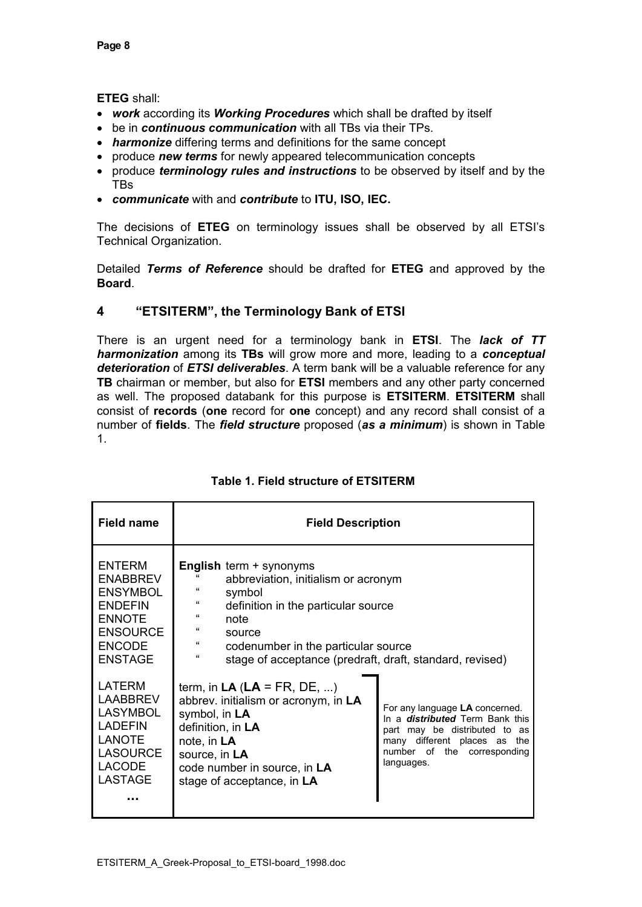**ETEG** shall:

- *work* according its *Working Procedures* which shall be drafted by itself
- be in *continuous communication* with all TBs via their TPs.
- *harmonize* differing terms and definitions for the same concept
- produce *new terms* for newly appeared telecommunication concepts
- produce *terminology rules and instructions* to be observed by itself and by the TBs
- *communicate* with and *contribute* to **ITU, ISO, IEC.**

The decisions of **ETEG** on terminology issues shall be observed by all ETSI's Technical Organization.

Detailed *Terms of Reference* should be drafted for **ETEG** and approved by the **Board**.

## **4 "ETSITERM", the Terminology Bank of ETSI**

There is an urgent need for a terminology bank in **ETSI**. The *lack of TT harmonization* among its **TBs** will grow more and more, leading to a *conceptual deterioration* of *ETSI deliverables*. A term bank will be a valuable reference for any **TB** chairman or member, but also for **ETSI** members and any other party concerned as well. The proposed databank for this purpose is **ETSITERM**. **ETSITERM** shall consist of **records** (**one** record for **one** concept) and any record shall consist of a number of **fields**. The *field structure* proposed (*as a minimum*) is shown in Table 1.

| <b>Field name</b>                                                                                                                            | <b>Field Description</b>                                                                                                                                                                                                                                                                                          |                                                                                                                                                                                           |
|----------------------------------------------------------------------------------------------------------------------------------------------|-------------------------------------------------------------------------------------------------------------------------------------------------------------------------------------------------------------------------------------------------------------------------------------------------------------------|-------------------------------------------------------------------------------------------------------------------------------------------------------------------------------------------|
| <b>ENTERM</b><br><b>ENABBREV</b><br><b>ENSYMBOL</b><br><b>ENDEFIN</b><br><b>ENNOTE</b><br><b>ENSOURCE</b><br><b>ENCODE</b><br><b>ENSTAGE</b> | <b>English term + synonyms</b><br>abbreviation, initialism or acronym<br>symbol<br>$\epsilon$<br>definition in the particular source<br>$\epsilon$<br>note<br>$\epsilon$<br>source<br>$\epsilon$<br>codenumber in the particular source<br>$\epsilon$<br>stage of acceptance (predraft, draft, standard, revised) |                                                                                                                                                                                           |
| LATERM<br><b>LAABBREV</b><br><b>LASYMBOL</b><br><b>LADEFIN</b><br><b>LANOTE</b><br><b>LASOURCE</b><br><b>LACODE</b><br>LASTAGE               | term, in $LA$ ( $LA$ = FR, DE, )<br>abbrev. initialism or acronym, in LA<br>symbol, in LA<br>definition, in LA<br>note, in LA<br>source, in LA<br>code number in source, in LA<br>stage of acceptance, in LA                                                                                                      | For any language LA concerned.<br>In a <i>distributed</i> Term Bank this<br>part may be distributed to as<br>many different places as<br>the<br>number of the corresponding<br>languages. |

## **Table 1. Field structure of ETSITERM**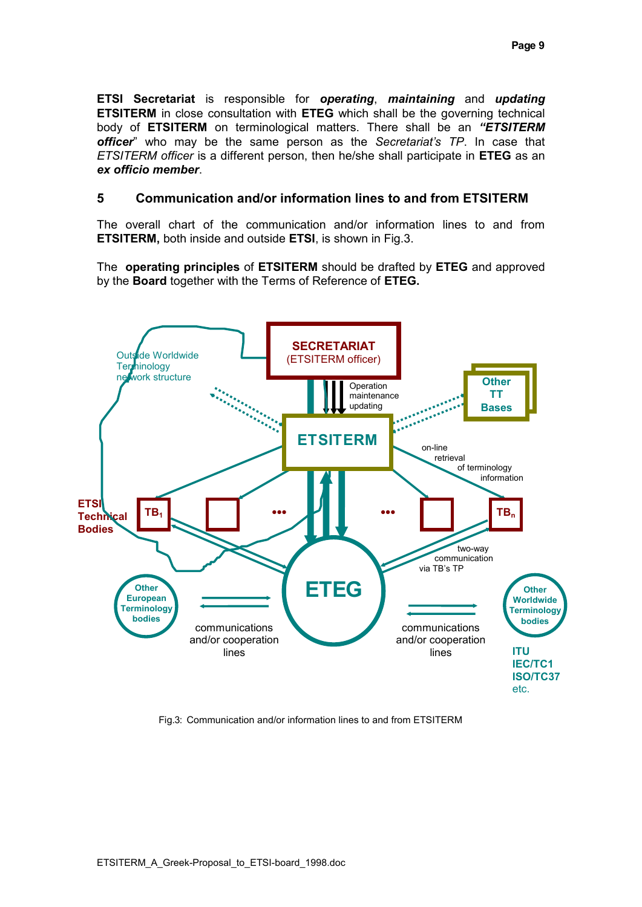**ETSI Secretariat** is responsible for *operating*, *maintaining* and *updating* **ETSITERM** in close consultation with **ETEG** which shall be the governing technical body of **ETSITERM** on terminological matters. There shall be an *"ETSITERM officer*" who may be the same person as the *Secretariat's TP*. In case that *ETSITERM officer* is a different person, then he/she shall participate in **ETEG** as an *ex officio member*.

## **5 Communication and/or information lines to and from ETSITERM**

The overall chart of the communication and/or information lines to and from **ETSITERM,** both inside and outside **ETSI**, is shown in Fig.3.

The **operating principles** of **ETSITERM** should be drafted by **ETEG** and approved by the **Board** together with the Terms of Reference of **ETEG.**



Fig.3: Communication and/or information lines to and from ETSITERM